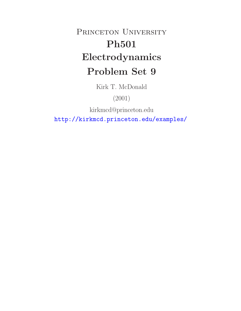# PRINCETON UNIVERSITY **Ph501 Electrodynamics Problem Set 9**

Kirk T. McDonald

(2001)

kirkmcd@princeton.edu

http://kirkmcd.princeton.edu/examples/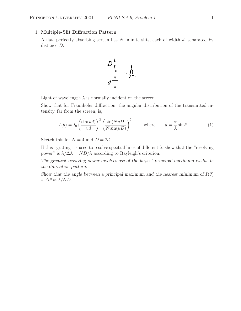## 1. **Multiple-Slit Diffraction Pattern**

A flat, perfectly absorbing screen has N infinite slits, each of width d, separated by distance D.



Light of wavelength  $\lambda$  is normally incident on the screen.

Show that for Fraunhofer diffraction, the angular distribution of the transmitted intensity, far from the screen, is,

$$
I(\theta) = I_0 \left(\frac{\sin(ud)}{ud}\right)^2 \left(\frac{\sin(NuD)}{N\sin(uD)}\right)^2, \quad \text{where} \quad u = \frac{\pi}{\lambda}\sin\theta. \tag{1}
$$

Sketch this for  $N = 4$  and  $D = 2d$ .

If this "grating" is used to resolve spectral lines of different  $\lambda$ , show that the "resolving" power" is  $\lambda/\Delta\lambda = ND/\lambda$  according to Rayleigh's criterion.

*The greatest resolving power involves use of the largest principal maximum visible in the diffraction pattern.*

*Show that the angle between a principal maximum and the nearest minimum of*  $I(\theta)$ *is*  $\Delta\theta \approx \lambda/ND$ .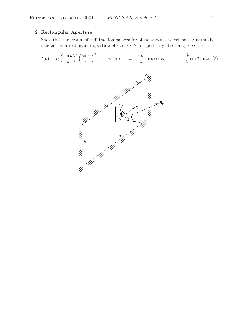# 2. **Rectangular Aperture**

Show that the Fraunhofer diffraction pattern for plane waves of wavelength  $\lambda$  normally incident on a rectangular aperture of size  $a \times b$  in a perfectly absorbing screen is,

$$
I(\theta) = I_0 \left(\frac{\sin u}{u}\right)^2 \left(\frac{\sin v}{v}\right)^2, \quad \text{where} \quad u = \frac{\pi a}{\lambda} \sin \theta \cos \phi, \quad v = \frac{\pi b}{\lambda} \sin \theta \sin \phi. \tag{2}
$$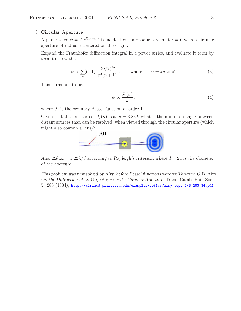#### 3. **Circular Aperture**

A plane wave  $\psi = Ae^{i(kz-\omega t)}$  is incident on an opaque screen at  $z = 0$  with a circular aperture of radius a centered on the origin.

Expand the Fraunhofer diffraction integral in a power series, and evaluate it term by term to show that,

$$
\psi \propto \sum_{n} (-1)^n \frac{(u/2)^{2n}}{n!(n+1)!}, \quad \text{where} \quad u = ka \sin \theta.
$$
 (3)

This turns out to be,

$$
\psi \propto \frac{J_1(u)}{u},\tag{4}
$$

where  $J_1$  is the ordinary Bessel function of order 1.

Given that the first zero of  $J_1(u)$  is at  $u = 3.832$ , what is the minimum angle between distant sources than can be resolved, when viewed through the circular aperture (which might also contain a lens)?



*Ans:*  $\Delta\theta_{\text{min}} = 1.22\lambda/d$  *according to Rayleigh's criterion, where*  $d = 2a$  *is the diameter of the aperture.*

*This problem was first solved by Airy, before Bessel functions were well known:* G.B. Airy, *On the Diffraction of an Object-glass with Circular Aperture*, Trans. Camb. Phil. Soc. **5**. 283 (1834), http://kirkmcd.princeton.edu/examples/optics/airy\_tcps\_5-3\_283\_34.pdf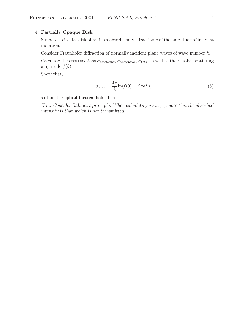# 4. **Partially Opaque Disk**

Suppose a circular disk of radius a absorbs only a fraction  $\eta$  of the amplitude of incident radiation.

Consider Fraunhofer diffraction of normally incident plane waves of wave number  $k$ .

Calculate the cross sections  $\sigma_{\text{scattering}}$ ,  $\sigma_{\text{absorption}}$ ,  $\sigma_{\text{total}}$  as well as the relative scattering amplitude  $f(\theta)$ .

Show that,

$$
\sigma_{\text{total}} = \frac{4\pi}{k} \text{Im} f(0) = 2\pi a^2 \eta,\tag{5}
$$

so that the optical theorem holds here.

*Hint: Consider Babinet's principle. When calculating* σ<sub>absorption *note that the absorbed*</sub> *intensity is that which is not transmitted.*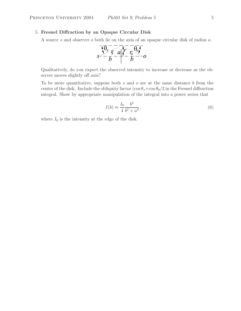#### 5. **Fresnel Diffraction by an Opaque Circular Disk**

A source s and observer o both lie on the axis of an opaque circular disk of radius a.



Qualitatively, do you expect the observed intensity to increase or decrease as the observer moves slightly off axis?

To be more quantitative, suppose both s and o are at the same distance  $b$  from the center of the disk. Include the obliquity factor  $(\cos \theta_s + \cos \theta_0/2)$  in the Fresnel diffraction integral. Show by appropriate manipulation of the integral into a power series that

$$
I(b) \approx \frac{I_0}{4} \frac{b^2}{b^2 + a^2},
$$
\n(6)

where  $I_0$  is the intensity at the edge of the disk.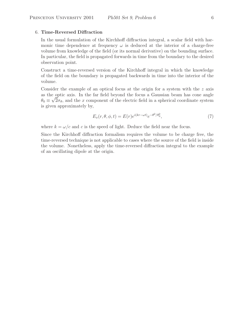#### 6. **Time-Reversed Diffraction**

In the usual formulation of the Kirchhoff diffraction integral, a scalar field with harmonic time dependence at frequency  $\omega$  is deduced at the interior of a charge-free volume from knowledge of the field (or its normal derivative) on the bounding surface. In particular, the field is propagated forwards in time from the boundary to the desired observation point.

Construct a time-reversed version of the Kirchhoff integral in which the knowledge of the field on the boundary is propagated backwards in time into the interior of the volume.

Consider the example of an optical focus at the origin for a system with the  $z$  axis as the optic axis. In the far field beyond the focus a Gaussian beam has cone angle  $\theta_0 \equiv \sqrt{2}\sigma_\theta$ , and the x component of the electric field in a spherical coordinate system is given approximately by,

$$
E_x(r, \theta, \phi, t) = E(r)e^{i(kr - \omega t)}e^{-\theta^2/\theta_0^2},
$$
\n(7)

where  $k = \omega/c$  and c is the speed of light. Deduce the field near the focus.

Since the Kirchhoff diffraction formalism requires the volume to be charge free, the time-reversed technique is not applicable to cases where the source of the field is inside the volume. Nonetheless, apply the time-reversed diffraction integral to the example of an oscillating dipole at the origin.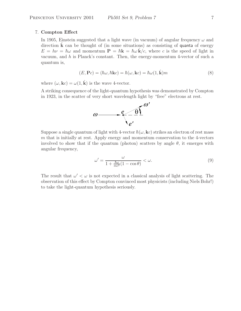#### 7. **Compton Effect**

In 1905, Einstein suggested that a light wave (in vacuum) of angular frequency  $\omega$  and direction  $\bf{k}$  can be thought of (in some situations) as consisting of **quanta** of energy  $E = h\nu = \hbar\omega$  and momentum  $\mathbf{P} = \hbar\mathbf{k} = \hbar\omega\,\mathbf{k}/c$ , where c is the speed of light in vacuum, and h is Planck's constant. Then, the energy-momentum 4-vector of such a quantum is,

$$
(E, \mathbf{P}c) = (\hbar \omega, \hbar \mathbf{k}c) = \hbar(\omega, \mathbf{k}c) = \hbar \omega (1, \hat{\mathbf{k}}) m
$$
\n(8)

where  $(\omega, \mathbf{k}c) = \omega(1, \hat{\mathbf{k}})$  is the wave 4-vector.

A striking consequence of the light-quantum hypothesis was demonstrated by Compton in 1923, in the scatter of very short wavelength light by "free" electrons at rest.



Suppose a single quantum of light with 4-vector  $\hbar(\omega, \mathbf{k}c)$  strikes an electron of rest mass m that is initially at rest. Apply energy and momentum conservation to the 4-vectors involved to show that if the quantum (photon) scatters by angle  $\theta$ , it emerges with angular frequency,

$$
\omega' = \frac{\omega}{1 + \frac{\hbar \omega}{mc^2} (1 - \cos \theta)} < \omega.
$$
\n(9)

The result that  $\omega' < \omega$  is not expected in a classical analysis of light scattering. The observation of this effect by Compton convinced most physicists (including Niels Bohr!) to take the light-quantum hypothesis seriously.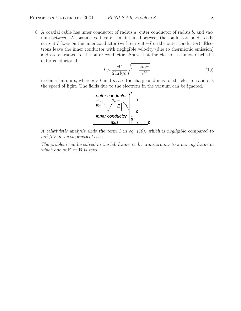8. A coaxial cable has inner conductor of radius a, outer conductor of radius b, and vacuum between. A constant voltage  $V$  is maintained between the conductors, and steady current I flows on the inner conductor (with current  $-I$  on the outer conductor). Electrons leave the inner conductor with negligible velocity (due to thermionic emission) and are attracted to the outer conductor. Show that the electrons cannot reach the outer conductor if,

$$
I > \frac{cV}{2\ln b/a} \sqrt{1 + \frac{2mc^2}{eV}},\tag{10}
$$

in Gaussian units, where  $e > 0$  and m are the charge and mass of the electron and c is the speed of light. The fields due to the electrons in the vacuum can be ignored.



*A relativistic analysis adds the term 1 in eq. (10), which is negligible compared to* mc2/eV *in most practical cases.*

*The problem can be solved in the lab frame, or by transforming to a moving frame in which one of* **E** *or* **B** *is zero.*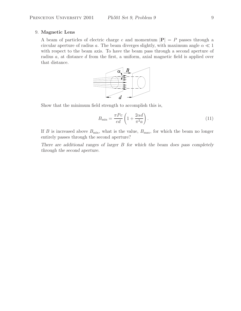#### 9. **Magnetic Lens**

A beam of particles of electric charge e and momentum  $|\mathbf{P}| = P$  passes through a circular aperture of radius a. The beam diverges slightly, with maximum angle  $\alpha \ll 1$ with respect to the beam axis. To have the beam pass through a second aperture of radius a, at distance d from the first, a uniform, axial magnetic field is applied over that distance.



Show that the minimum field strength to accomplish this is,

$$
B_{\min} = \frac{\pi P c}{ed} \left( 1 + \frac{2\alpha d}{\pi^2 a} \right). \tag{11}
$$

If B is increased above  $B_{\text{min}}$ , what is the value,  $B_{\text{max}}$ , for which the beam no longer entirely passes through the second aperture?

*There are additional ranges of larger* B *for which the beam does pass completely through the second aperture.*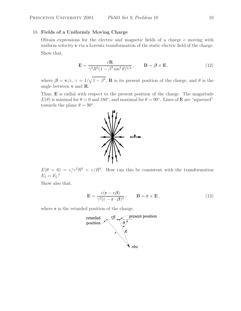## 10. **Fields of a Uniformly Moving Charge**

Obtain expressions for the electric and magnetic fields of a charge  $e$  moving with uniform velocity **v** via a Lorentz transformation of the static electric field of the charge. Show that,

$$
\mathbf{E} = \frac{e\mathbf{R}}{\gamma^2 R^3 (1 - \beta^2 \sin^2 \theta)^{3/2}}, \qquad \mathbf{B} = \beta \times \mathbf{E}, \qquad (12)
$$

where  $\beta = \mathbf{v}/c$ ,  $\gamma = 1/\sqrt{1-\beta^2}$ , **R** is its present position of the charge, and  $\theta$  is the angle between **v** and **R**.

Thus, **E** is radial with respect to the present position of the charge. The magnitude  $E(\theta)$  is minimal for  $\theta = 0$  and 180<sup>°</sup>, and maximal for  $\theta = 90$ <sup>°</sup>. Lines of **E** are "squeezed" towards the plane  $\theta = 90^\circ$ .

 $E(\theta = 0) = e/\gamma^2 R^2 < e/R^2$ . How can this be consistent with the transformation  $E_{\parallel} = E_{\parallel}$ ?

Show also that,

$$
\mathbf{E} = \frac{e(\mathbf{r} - r\boldsymbol{\beta})}{\gamma^2 (r - \mathbf{r} \cdot \boldsymbol{\beta})^3}, \qquad \mathbf{B} = \hat{\mathbf{r}} \times \mathbf{E},
$$
\n(13)

where **r** is the retarded position of the charge.



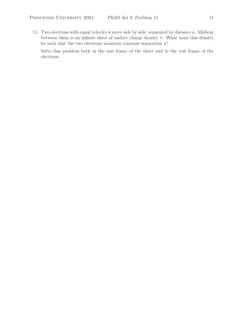11. Two electrons with equal velocity **v** move side by side, separated by distance a. Midway between them is an infinite sheet of surface charge density  $\sigma$ . What must this density be such that the two electrons maintain constant separation  $a$ ?

Solve this problem both in the rest frame of the sheet and in the rest frame of the electrons.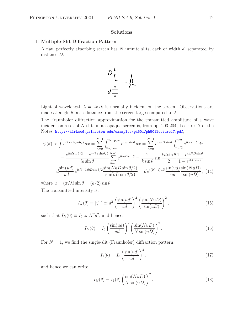## **Solutions**

#### 1. **Multiple-Slit Diffraction Pattern**

A flat, perfectly absorbing screen has N infinite slits, each of width d, separated by distance D.



Light of wavelength  $\lambda = 2\pi/k$  is normally incident on the screen. Observations are made at angle  $\theta$ , at a distance from the screen large compared to  $\lambda$ .

The Fraunhofer diffraction approximation for the transmitted amplitude of a wave incident on a set of N slits in an opaque screen is, from pp. 203-204, Lecture 17 of the Notes, http://kirkmcd.princeton.edu/examples/ph501/ph501lecture17.pdf,

$$
\psi(\theta) \propto \int e^{ikx \cdot (\hat{\mathbf{n}}_s - \hat{\mathbf{n}}_o)} dx = \sum_{n=0}^{N-1} \int_{x_{n,\text{lower}}}^{x_{n,\text{upper}}} e^{ikx \sin \theta} dx = \sum_{n=0}^{N-1} e^{iknD \sin \theta} \int_{-d/2}^{d/2} e^{ikx \sin \theta} dx
$$

$$
= \frac{e^{ikd \sin \theta/2} - e^{-ikd \sin \theta/2} N - 1}{ik \sin \theta} \sum_{n=0}^{N-1} e^{iknD \sin \theta} = \frac{2}{k \sin \theta} \sin \frac{kd \sin \theta}{2} \frac{1 - e^{ikND \sin \theta}}{1 - e^{ikD \sin \theta}}
$$

$$
= d \frac{\sin(ud)}{ud} e^{i(N-1)kD \sin \theta/2} \frac{\sin(NkD \sin \theta/2)}{\sin(kD \sin \theta/2)} = d e^{i(N-1)uD} \frac{\sin(ud)}{ud} \frac{\sin(NuD)}{\sin(uD)}, \quad (14)
$$

where  $u = (\pi/\lambda) \sin \theta = (k/2) \sin \theta$ .

The transmitted intensity is,

$$
I_N(\theta) = |\psi|^2 \propto d^2 \left(\frac{\sin(ud)}{ud}\right)^2 \left(\frac{\sin(NuD)}{\sin(uD)}\right)^2,
$$
\n(15)

such that  $I_N(0) \equiv I_0 \propto N^2 d^2$ , and hence,

$$
I_N(\theta) = I_0 \left(\frac{\sin(ud)}{ud}\right)^2 \left(\frac{\sin(NuD)}{N\sin(uD)}\right)^2.
$$
 (16)

For  $N = 1$ , we find the single-slit (Fraunhofer) diffraction pattern,

$$
I_1(\theta) = I_0 \left(\frac{\sin(ud)}{ud}\right)^2.
$$
 (17)

and hence we can write,

$$
I_N(\theta) = I_1(\theta) \left( \frac{\sin(NuD)}{N \sin(uD)} \right)^2.
$$
\n(18)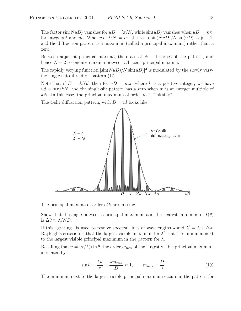The factor  $\sin(NuD)$  vanishes for  $uD = l\pi/N$ , while  $\sin(uD)$  vanishes when  $uD = m\pi$ , for integers l and m. Whenever  $l/N = m$ , the ratio  $\sin(NuD)/N \sin(uD)$  is just 1, and the diffraction pattern is a maximum (called a principal maximum) rather than a zero.

Between adjacent principal maxima, there are at  $N-1$  zeroes of the pattern, and hence  $N-2$  secondary maxima between adjacent principal maxima.

The rapidly varying function  $[\sin(NuD)/N\sin(uD)]^2$  is modulated by the slowly varying single-slit diffraction pattern (17).

Note that if  $D = kNd$ , then for  $uD = m\pi$ , where k is a positive integer, we have  $ud = m\pi/kN$ , and the single-slit pattern has a zero when m is an integer multiple of  $kN$ . In this case, the principal maximum of order m is "missing".

The 4-slit diffraction pattern, with  $D = 4d$  looks like:



The principal maxima of orders 4k are missing.

Show that the angle between a principal maximum and the nearest minimum of  $I(\theta)$ is  $\Delta\theta \approx \lambda/ND$ .

If this "grating" is used to resolve spectral lines of wavelengths  $\lambda$  and  $\lambda' = \lambda + \Delta \lambda$ , Rayleigh's criterion is that the largest visible maximum for  $\lambda'$  is at the minimum next to the largest visible principal maximum in the pattern for  $\lambda$ .

Recalling that  $u = (\pi/\lambda) \sin \theta$ , the order  $m_{\text{max}}$  of the largest visible principal maximum is related by

$$
\sin \theta = \frac{\lambda u}{\pi} = \frac{\lambda m_{\text{max}}}{D} \approx 1, \qquad m_{\text{max}} = \frac{D}{\lambda}.
$$
 (19)

The minimum next to the largest visible principal maximum occurs in the pattern for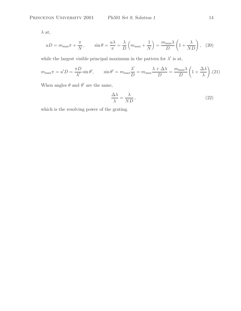$\lambda$  at,

$$
uD = m_{\max}\pi + \frac{\pi}{N}, \qquad \sin\theta = \frac{u\lambda}{\pi} = \frac{\lambda}{D}\left(m_{\max} + \frac{1}{N}\right) = \frac{m_{\max}\lambda}{D}\left(1 + \frac{\lambda}{ND}\right), \quad (20)
$$

while the largest visible principal maximum in the pattern for  $\lambda'$  is at,

$$
m_{\max}\pi = u'D = \frac{\pi D}{\lambda'}\sin\theta', \qquad \sin\theta' = m_{\max}\frac{\lambda'}{D} = m_{\max}\frac{\lambda + \Delta\lambda}{D} = \frac{m_{\max}\lambda}{D}\left(1 + \frac{\Delta\lambda}{\lambda}\right). (21)
$$

When angles  $\theta$  and  $\theta'$  are the same,

$$
\frac{\Delta\lambda}{\lambda} = \frac{\lambda}{ND},\tag{22}
$$

which is the resolving power of the grating.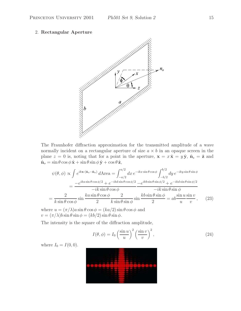#### 2. **Rectangular Aperture**



The Fraunhofer diffraction approximation for the transmitted amplitude of a wave normally incident on a rectangular aperture of size  $a \times b$  in an opaque screen in the plane  $z = 0$  is, noting that for a point in the aperture,  $\mathbf{x} = x\hat{\mathbf{x}} = y\hat{\mathbf{y}}, \hat{\mathbf{n}}_s = \hat{\mathbf{z}}$  and  $\hat{\mathbf{n}}_o = \sin \theta \cos \phi \, \hat{\mathbf{x}} + \sin \theta \sin \phi \, \hat{\mathbf{y}} + \cos \theta \, \hat{\mathbf{z}}$ ,

$$
\psi(\theta,\phi) \propto \int e^{i k \mathbf{x} \cdot (\hat{\mathbf{n}}_s - \hat{\mathbf{n}}_o)} dA \text{rea} = \int_{-a/2}^{a/2} dx \, e^{-ikx \sin \theta \cos \phi} \int_{-b/2}^{b/2} dy \, e^{-iky \sin \theta \sin \phi} \n= \frac{-e^{ika \sin \theta \cos \phi/2} + e^{-ikd \sin \theta \cos \phi/2} - e^{ikb \sin \theta \sin \phi/2} + e^{-ikd \sin \theta \sin \phi/2}}{-ik \sin \theta \cos \phi} \n= \frac{2}{k \sin \theta \cos \phi} \sin \frac{ka \sin \theta \cos \phi}{2} \frac{2}{k \sin \theta \sin \phi} \sin \frac{kb \sin \theta \sin \phi}{2} = ab \frac{\sin u \sin v}{u} , \quad (23)
$$

where  $u = (\pi/\lambda)a \sin \theta \cos \phi = (ka/2) \sin \theta \cos \phi$  and  $v = (\pi/\lambda)b \sin \theta \sin \phi = (kb/2) \sin \theta \sin \phi.$ 

The intensity is the square of the diffraction amplitude,

$$
I(\theta, \phi) = I_0 \left(\frac{\sin u}{u}\right)^2 \left(\frac{\sin v}{v}\right)^2, \tag{24}
$$

where  $I_0 = I(0, 0)$ .

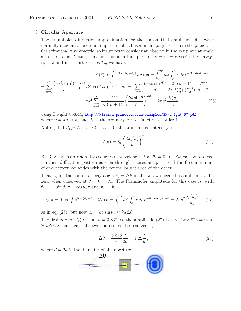#### 3. **Circular Aperture**

The Fraunhofer diffraction approximation for the transmitted amplitude of a wave normally incident on a circular aperture of radius a in an opaque screen in the plane  $z =$ 0 is azimuthally symmetric, so if suffices to consider an observe in the  $x-z$  plane at angle  $\theta$  to the z axis. Noting that for a point in the aperture,  $\mathbf{x} = r\hat{\mathbf{r}} = r\cos\phi\hat{\mathbf{x}} + r\sin\phi\hat{\mathbf{y}}$ ,  $\hat{\mathbf{n}}_s = \hat{\mathbf{z}}$  and  $\hat{\mathbf{n}}_o = \sin \theta \hat{\mathbf{x}} + \cos \theta \hat{\mathbf{z}}$ , we have,

$$
\psi(\theta) \propto \int e^{ikx \cdot (\hat{n}_s - \hat{n}_o)} d\text{Area} = \int_0^{2\pi} d\phi \int_0^a r \, dr \, e^{-ikr\sin\theta\cos\phi} \\
= \sum_{n=0}^\infty \frac{(-ik\sin\theta)^n}{n!} \int_0^{2\pi} d\phi \, \cos^n \phi \int_0^a r^{n+1} \, dr = \sum_{n \text{ even}} \frac{(-ik\sin\theta)^n}{n!} \frac{2\pi(n-1)!}{2^{n-1}(\frac{n}{2})!(\frac{n-2}{2})!} \frac{a^{n+2}}{n+2} \\
= \pi a^2 \sum_{m=0}^\infty \frac{(-1)^m}{m!(m+1)!} \left(\frac{ka\sin\theta}{2}\right)^{2m} = 2\pi a^2 \frac{J_1(u)}{u}, \tag{25}
$$

using Dwight 858.44, http://kirkmcd.princeton.edu/examples/EM/dwight\_57.pdf, where  $u = ka \sin \theta$ , and  $J_1$  is the ordinary Bessel function of order 1. Noting that  $J_1(u)/u \to 1/2$  as  $u \to 0$ , the transmitted intensity is.

$$
I(\theta) = I_0 \left(\frac{2J_1(u)}{u}\right)^2 \tag{26}
$$

By Rayleigh's criterion, two sources of wavelength  $\lambda$  at  $\theta_s = 0$  and  $\Delta\theta$  can be resolved via their diffraction pattern as seen through a circular aperture if the first minimum of one pattern coincides with the central bright spot of the other.

That is, for the source at, say angle  $\theta_s = \Delta\theta$  in the x-z we need the amplitude to be zero when observed at  $\theta = 0 = \theta_o$ . The Fraunhofer amplitude for this case is, with  $\hat{\mathbf{n}}_s = -\sin\theta_s\,\hat{\mathbf{x}} + \cos\theta_s\,\hat{\mathbf{z}}$  and  $\hat{\mathbf{n}}_0 = \hat{\mathbf{z}}$ ,

$$
\psi(\theta = 0) \propto \int e^{ik\mathbf{x} \cdot (\hat{\mathbf{n}}_s - \hat{\mathbf{n}}_o)} d\text{Area} = \int_0^{2\pi} d\phi \int_0^a r dr \, e^{-ikr \sin \theta_s \cos \phi} = 2\pi a^2 \frac{J_1(u_s)}{u_s} \,, \tag{27}
$$

as in eq. (25), but now  $u_s = ka \sin \theta_s \approx ka \Delta \theta$ .

The first zero of  $J_1(u)$  is at  $u = 3.832$ , so the amplitude (27) is zero for  $3.823 = u_s \approx$  $2\pi a\Delta\theta/\lambda$ , and hence the two sources can be resolved if,

$$
\Delta\theta = \frac{3.823}{\pi} \frac{\lambda}{2a} = 1.22 \frac{\lambda}{d},\qquad(28)
$$

where  $d = 2a$  is the diameter of the aperture.

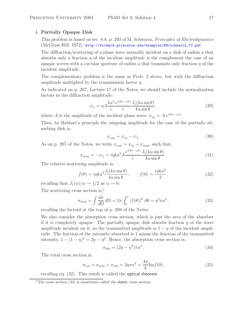#### 4. **Partially Opaque Disk**

*This problem is based on sec. 8.8, p. 293 of* M. Schwartz, *Principles of Electrodynamics* (McGraw-Hill, 1972), http://kirkmcd.princeton.edu/examples/EM/schwartz\_72.pdf

The diffraction/scattering of a plane wave normally incident on a disk of radius a that absorbs only a fraction  $\eta$  of the incident amplitude is the complement the case of an opaque screen with a circular aperture of radius a that transmits only fraction  $\eta$  of the incident amplitude.

The complementary problem is the same as Prob. 3 above, but with the diffraction amplitude multiplied by the transmission factor  $\eta$ .

As indicated on p. 207, Lecture 17 of the Notes, we should include the normalization factors in the diffraction amplitude:

$$
\psi_1 = \eta A \frac{ka^2}{i} \frac{e^{i(kr - \omega t)}}{r} \frac{J_1(ka\sin\theta)}{ka\sin\theta},\tag{29}
$$

where A is the amplitude of the incident plane wave,  $\psi_{\text{in}} = A e^{i(kz - \omega t)}$ .

Then, by Babinet's principle the outgoing amplitude for the case of the partially absorbing disk is,

$$
\psi_{\text{out}} = \psi_{\text{in}} - \psi_1. \tag{30}
$$

As on p. 207 of the Notes, we write  $\psi_{\text{out}} = \psi_{\text{in}} + \psi_{\text{scat}}$ , such that,

$$
\psi_{\text{scat}} = -\psi_1 = i\eta k a^2 A \frac{e^{i(kr - \omega t)}}{r} \frac{J_1(ka\sin\theta)}{ka\sin\theta}.
$$
\n(31)

The relative scattering amplitude is,

$$
f(\theta) = i\eta k a^2 \frac{J_1(ka\sin\theta)}{ka\sin\theta}, \qquad f(0) = \frac{i\eta ka^2}{2}, \qquad (32)
$$

recalling that  $J_1(u)/u \to 1/2$  as  $u \to 0$ .

The scattering cross section is,<sup>1</sup>

$$
\sigma_{\text{scat}} = \int \frac{d\sigma}{d\Omega} d\Omega = 2\pi \int_0^{\pi} |f(\theta)|^2 d\theta = \eta^2 \pi a^2, \qquad (33)
$$

recalling the factoid at the top of p. 208 of the Notes.

We also consider the absorption cross section, which is just the area of the absorber if it is completely opaque. The partially opaque disk absorbs fraction  $\eta$  of the wave amplitude incident on it, so the transmitted amplitude is  $1 - \eta$  of the incident amplitude. The fraction of the intensity absorbed is 1 minus the fraction of the transmitted intensity,  $1 - (1 - \eta)^2 = 2\eta - \eta^2$ . Hence, the absorption cross section is,

$$
\sigma_{\text{abs}} = (2\eta - \eta^2)\pi a^2. \tag{34}
$$

The total cross section is,

$$
\sigma_{\text{tot}} = \sigma_{\text{scat}} + \sigma_{\text{abs}} = 2\eta \pi a^2 = \frac{4\pi}{k} \text{Im} f(0),\tag{35}
$$

recalling eq. (32). This result is called the optical theorem.

 $1$ <sup>1</sup>The cross section (33) is sometimes called the elastic cross section.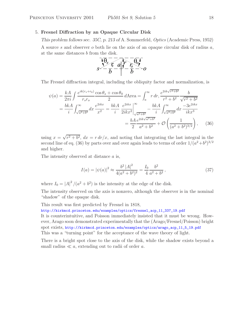## 5. **Fresnel Diffraction by an Opaque Circular Disk**

*This problem follows sec. 35C, p. 213 of* A. Sommerfeld, *Optics* (Academic Press, 1952) A source s and observer o both lie on the axis of an opaque circular disk of radius  $a$ , at the same distances b from the disk.



The Fresnel diffraction integral, including the obliquity factor and normalization, is

$$
\psi(a) = \frac{kA}{2\pi i} \int \frac{e^{ik(r_s+r_0)}}{r_s r_o} \frac{\cos \theta_s + \cos \theta_0}{2} d\text{Area} = \int_a^\infty r dr, \frac{e^{2ik\sqrt{r^2+b^2}}}{r^2 + b^2} \frac{b}{\sqrt{r^2 + b^2}}
$$

$$
= \frac{bkA}{i} \int_{\sqrt{a^2+b^2}}^\infty dx \frac{e^{2ikx}}{x^2} = \frac{bkA}{i} \frac{e^{2ikx}}{2ikx^2} \Big|_{\sqrt{a^2+b^2}}^\infty - \frac{bkA}{i} \int_{\sqrt{a^2+b^2}}^\infty dx \frac{-3e^{2ikx}}{ikx^3}
$$

$$
= \frac{bA}{2} \frac{e^{2ik\sqrt{a^2+b^2}}}{a^2 + b^2} + \mathcal{O}\left(\frac{1}{(a^2+b^2)^{3/2}}\right), \quad (36)
$$

using  $x = \sqrt{r^2 + b^2}$ ,  $dx = r dr/x$ , and noting that integrating the last integral in the second line of eq. (36) by parts over and over again leads to terms of order  $1/(a^2+b^2)^{3/2}$ and higher.

The intensity observed at distance a is,

$$
I(a) = |\psi(a)|^2 \approx \frac{b^2 |A|^2}{4(a^2 + b^2)^2} = \frac{I_0}{4} \frac{b^2}{a^2 + b^2},
$$
\n(37)

where  $I_0 = |A|^2/(a^2 + b^2)$  is the intensity at the edge of the disk.

The intensity observed on the axis is nonzero, although the observer is in the nominal "shadow" of the opaque disk.

This result was first predicted by Fresnel in 1818,

http://kirkmcd.princeton.edu/examples/optics/fresnel\_acp\_11\_337\_19.pdf

It is counterintuitive, and Poisson immediately insisted that it must be wrong. However, Arago soon demonstrated experimentally that the (Arago/Fresnel/Poisson) bright spot exists, http://kirkmcd.princeton.edu/examples/optics/arago\_acp\_11\_5\_19.pdf This was a "turning point" for the acceptance of the wave theory of light.

There is a bright spot close to the axis of the disk, while the shadow exists beyond a small radius  $\ll a$ , extending out to radii of order a.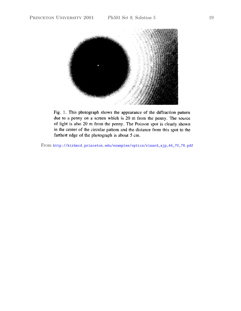

Fig. 1. This photograph shows the appearance of the diffraction pattern due to a penny on a screen which is 20 m from the penny. The source of light is also 20 m from the penny. The Poisson spot is clearly shown in the center of the circular pattern and the distance from this spot to the farthest edge of the photograph is about 5 cm.

From http://kirkmcd.princeton.edu/examples/optics/rinard\_ajp\_44\_70\_76.pdf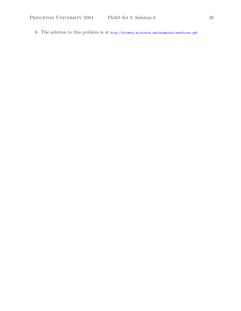6. The solution to this problem is at http://kirkmcd.princeton.edu/examples/laserfocus.pdf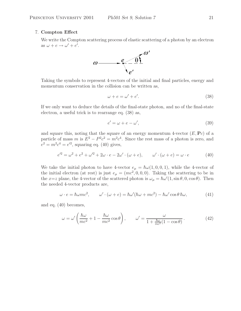## 7. **Compton Effect**

We write the Compton scattering process of elastic scattering of a photon by an electron as  $\omega + e \rightarrow \omega' + e'.$ 



Taking the symbols to represent 4-vectors of the initial and final particles, energy and momentum conservation in the collision can be written as,

$$
\omega + e = \omega' + e'.\tag{38}
$$

If we only want to deduce the details of the final-state photon, and no of the final-state electron, a useful trick is to rearrange eq. (38) as,

$$
e' = \omega + e - \omega',\tag{39}
$$

and square this, noting that the square of an energy momentum 4-vector  $(E, \mathbf{P}_c)$  of a particle of mass m is  $E^2 - P^2c^2 = m^2c^4$ . Since the rest mass of a photon is zero, and  $e^2 = m^2 c^4 = e^2$ , squaring eq. (40) gives,

$$
e'^2 = \omega^2 + e^2 + \omega'^2 + 2\omega \cdot e - 2\omega' \cdot (\omega + e), \qquad \omega' \cdot (\omega + e) = \omega \cdot e \tag{40}
$$

We take the initial photon to have 4-vector  $e_{\mu} = \hbar \omega (1, 0, 0, 1)$ , while the 4-vector of the initial electron (at rest) is just  $e_{\mu} = (mc^2, 0, 0, 0)$ . Taking the scattering to be in the x=z plane, the 4-vector of the scattered photon is  $\omega_{\mu} = \hbar \omega'(1, \sin \theta, 0, \cos \theta)$ . Then the needed 4-vector products are,

$$
\omega \cdot e = \hbar \omega mc^2, \qquad \omega' \cdot (\omega + e) = \hbar \omega' (\hbar \omega + mc^2) - \hbar \omega' \cos \theta \, \hbar \omega, \tag{41}
$$

and eq. (40) becomes,

$$
\omega = \omega' \left( \frac{\hbar \omega}{mc^2} + 1 - \frac{\hbar \omega}{mc^2} \cos \theta \right), \qquad \omega' = \frac{\omega}{1 + \frac{\hbar \omega}{mc^2} (1 - \cos \theta)}.
$$
 (42)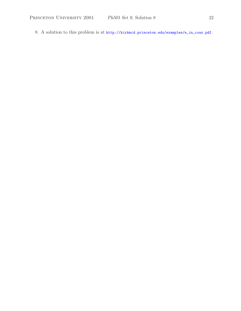8. A solution to this problem is at http://kirkmcd.princeton.edu/examples/e\_in\_coax.pdf.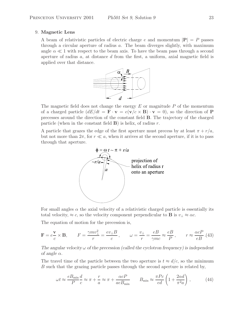#### 9. **Magnetic Lens**

A beam of relativistic particles of electric charge e and momentum  $|\mathbf{P}| = P$  passes through a circular aperture of radius a. The beam diverges slightly, with maximum angle  $\alpha \ll 1$  with respect to the beam axis. To have the beam pass through a second aperture of radius  $a$ , at distance  $d$  from the first, a uniform, axial magnetic field is applied over that distance.



The magnetic field does not change the energy  $E$  or magnitude  $P$  of the momentum of a charged particle  $\left(dE/dt = \mathbf{F} \cdot \mathbf{v} = e(\mathbf{v}/c \times \mathbf{B}) \cdot \mathbf{v} = 0\right)$ , so the direction of **P** precesses around the direction of the constant field **B**. The trajectory of the charged particle (when in the constant field  $\bf{B}$ ) is helix, of radius r.

A particle that grazes the edge of the first aperture must precess by at least  $\pi + r/a$ , but not more than  $2\pi$ , for  $r \ll a$ , when it arrives at the second aperture, if it is to pass through that aperture.



For small angles  $\alpha$  the axial velocity of a relativistic charged particle is essentially its total velocity,  $\approx c$ , so the velocity component perpendicular to **B** is  $v_{\perp} \approx \alpha c$ .

The equation of motion for the precession is,

$$
\mathbf{F} = e \frac{\mathbf{v}}{c} \times \mathbf{B}, \qquad F = \frac{\gamma m v_{\perp}^2}{r} = \frac{e v_{\perp} B}{c}, \qquad \omega = \frac{v_{\perp}}{r} = \frac{e B}{\gamma m c} \approx \frac{e B}{P}, \qquad r \approx \frac{\alpha c P}{e B} . (43)
$$

The angular velocity  $\omega$  of the precession (called the cyclotron frequency) is independent *of angle*  $\alpha$ *.* 

The travel time of the particle between the two aperture is  $t \approx d/c$ , so the minimum B such that the grazing particle passes through the second aperture is related by,

$$
\omega t \approx \frac{eB_{\min}}{P} \frac{d}{c} \approx \pi + \frac{r}{a} \approx \pi + \frac{\alpha cP}{aeB_{\min}} \qquad B_{\min} \approx \frac{\pi Pc}{ed} \left( 1 + \frac{2\alpha d}{\pi^2 a} \right),\tag{44}
$$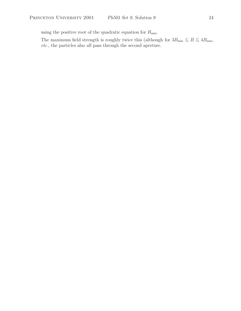using the positive root of the quadratic equation for  $B_{\rm min}.$ 

The maximum field strength is roughly twice this (although for  $3B_{\text{min}} \lesssim B \lesssim 4B_{\text{min}}$ , *etc.*, the particles also all pass through the second aperture.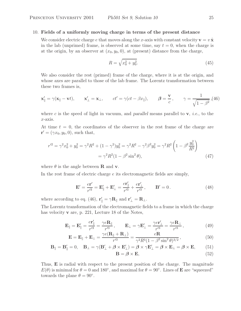#### 10. **Fields of a uniformly moving charge in terms of the present distance**

We consider electric charge e that moves along the x-axis with constant velocity  $\mathbf{v} = v \hat{\mathbf{x}}$ in the lab (unprimed) frame, is observed at some time, say  $t = 0$ , when the charge is at the origin, by an observer at  $(x_0, y_0, 0)$ , at (present) distance from the charge,

$$
R = \sqrt{x_0^2 + y_0^2}.\tag{45}
$$

We also consider the rest (primed) frame of the charge, where it is at the origin, and whose axes are parallel to those of the lab frame. The Lorentz transformation between these two frames is,

$$
\mathbf{x}'_{\parallel} = \gamma(\mathbf{x}_{\parallel} - \mathbf{v}t), \qquad \mathbf{x}'_{\perp} = \mathbf{x}_{\perp}, \qquad ct' = \gamma(ct - \beta x_{\parallel}), \qquad \beta = \frac{\mathbf{v}}{c}, \qquad \gamma = \frac{1}{\sqrt{1 - \beta^2}}, (46)
$$

where c is the speed of light in vacuum, and *parallel* means parallel to **v**, *i.e.*, to the x-axis.

At time  $t = 0$ , the coordinates of the observer in the rest frame of the charge are  ${\bf r}' = (\gamma x_0, y_0, 0)$ , such that,

$$
r'^2 = \gamma^2 x_0^2 + y_0^2 = \gamma^2 R^2 + (1 - \gamma^2) y_0^2 = \gamma^2 R^2 - \gamma^2 \beta^2 y_0^2 = \gamma^2 R^2 \left( 1 - \beta^2 \frac{y_0^2}{R^2} \right)
$$
  
=  $\gamma^2 R^2 (1 - \beta^2 \sin^2 \theta),$  (47)

where  $\theta$  is the angle between **R** and **v**.

In the rest frame of electric charge e its electromagnetic fields are simply,

$$
\mathbf{E}' = \frac{e\mathbf{r}'}{r'^3} = \mathbf{E}'_{\parallel} + \mathbf{E}'_{\perp} = \frac{e\mathbf{r}'_{\parallel}}{r'^3} + \frac{e\mathbf{r}'_{\perp}}{r'^3}, \qquad \mathbf{B}' = 0.
$$
 (48)

where according to eq. (46),  $\mathbf{r}'_{\parallel} = \gamma \mathbf{R}_{\parallel}$  and  $\mathbf{r}'_{\perp} = \mathbf{R}_{\perp}$ .

The Lorentz transformation of the electromagnetic fields to a frame in which the charge has velocity **v** are, p. 221, Lecture 18 of the Notes,

$$
\mathbf{E}_{\parallel} = \mathbf{E}'_{\parallel} = \frac{e\mathbf{r}'_{\parallel}}{r'^3} = \frac{\gamma e\mathbf{R}_{\parallel}}{r'^3}, \qquad \mathbf{E}_{\perp} = \gamma \mathbf{E}'_{\perp} = \frac{\gamma e\mathbf{r}'_{\perp}}{r'^3} = \frac{\gamma e\mathbf{R}_{\perp}}{r'^3}, \tag{49}
$$

$$
\mathbf{E} = \mathbf{E}_{\parallel} + \mathbf{E}_{\perp} = \frac{\gamma e(\mathbf{R}_{\parallel} + \mathbf{R}_{\perp})}{r'^3} = \frac{e\mathbf{R}}{\gamma^2 R^3 (1 - \beta^2 \sin^2 \theta)^{3/2}},
$$
(50)

$$
\mathbf{B}_{\parallel} = \mathbf{B}'_{\parallel} = 0, \quad \mathbf{B}_{\perp} = \gamma (\mathbf{B}'_{\perp} + \beta \times \mathbf{E}'_{\perp}) = \beta \times \gamma \mathbf{E}'_{\perp} = \beta \times \mathbf{E}_{\perp} = \beta \times \mathbf{E}, \tag{51}
$$
\n
$$
\mathbf{B} = \beta \times \mathbf{E}, \tag{52}
$$

Thus, **E** is radial with respect to the present position of the charge. The magnitude 
$$
E(\theta)
$$
 is minimal for  $\theta = 0$  and  $180^{\circ}$ , and maximal for  $\theta = 90^{\circ}$ . Lines of **E** are "squeezed" towards the plane  $\theta = 90^{\circ}$ .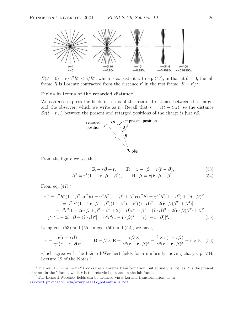

 $E(\theta = 0) = e/\gamma^2 R^2 < e/R^2$ , which is consistent with eq. (47), in that at  $\theta = 0$ , the lab frame R is Lorentz contracted from the distance r' in the rest frame,  $R = r'/\gamma$ .

#### **Fields in terms of the retarded distance**

We can also express the fields in terms of the retarded distance between the charge, and the observer, which we write as **r**. Recall that  $r = c(t - t_{\text{ret}})$ , so the distance  $\beta c(t - t_{\text{ret}})$  between the present and retarged positions of the charge is just  $r\beta$ .



From the figure we see that,

$$
\mathbf{R} + r\boldsymbol{\beta} + \mathbf{r}, \qquad \mathbf{R} = \mathbf{r} - r\boldsymbol{\beta} = r(\hat{\mathbf{r}} - \boldsymbol{\beta}), \tag{53}
$$

$$
R^2 = r^2(1 - 2\hat{\mathbf{r}} \cdot \boldsymbol{\beta} + \beta^2), \qquad \mathbf{R} \cdot \boldsymbol{\beta} = r(\hat{\mathbf{r}} \cdot \boldsymbol{\beta} - \beta^2). \tag{54}
$$

From eq.  $(47),^2$ 

$$
r'^2 = \gamma^2 R^2 (1 - \beta^2 \sin^2 \theta) = \gamma^2 R^2 (1 - \beta^2 + \beta^2 \cos^2 \theta) = \gamma^2 [R^2 (1 - \beta^2) + (\mathbf{R} \cdot \mathbf{\beta})^2]
$$
  
\n
$$
= \gamma^2 [r^2 (1 - 2\hat{\mathbf{r}} \cdot \mathbf{\beta} + \beta^2)(1 - \beta^2) + r^2 ((\hat{\mathbf{r}} \cdot \mathbf{\beta})^2 - 2(\hat{\mathbf{r}} \cdot \mathbf{\beta})\beta^2) + \beta^4]
$$
  
\n
$$
= \gamma^2 r^2 [1 - 2\hat{\mathbf{r}} \cdot \mathbf{\beta} + \beta^2 - \beta^2 + 2(\hat{\mathbf{r}} \cdot \mathbf{\beta})\beta^2 - \beta^4 + (\hat{\mathbf{r}} \cdot \mathbf{\beta})^2 - 2(\hat{\mathbf{r}} \cdot \mathbf{\beta})\beta^2) + \beta^4]
$$
  
\n
$$
= \gamma^2 r^2 [1 - 2\hat{\mathbf{r}} \cdot \mathbf{\beta} + (\hat{\mathbf{r}} \cdot \mathbf{\beta})^2] = \gamma^2 r^2 (1 - \hat{\mathbf{r}} \cdot \mathbf{\beta})^2 = [\gamma (r - \mathbf{r} \cdot \mathbf{\beta})]^2.
$$
 (55)

Using eqs.  $(53)$  and  $(55)$  in eqs.  $(50)$  and  $(52)$ , we have,

$$
\mathbf{E} = \frac{e(\mathbf{r} - r\boldsymbol{\beta})}{\gamma^2 (r - \mathbf{r} \cdot \boldsymbol{\beta})^3}, \qquad \mathbf{B} = \boldsymbol{\beta} \times \mathbf{E} = \frac{e\boldsymbol{\beta} \times \mathbf{r}}{\gamma^2 (r - \mathbf{r} \cdot \boldsymbol{\beta})^3} = \frac{\hat{\mathbf{r}} \times e(\mathbf{r} - r\boldsymbol{\beta})}{\gamma^2 (r - \mathbf{r} \cdot \boldsymbol{\beta})^3} = \hat{\mathbf{r}} \times \mathbf{E}, \tag{56}
$$

which agree with the Liénard-Weichert fields for a uniformly moving charge, p. 234, Lecture 19 of the Notes.3

<sup>&</sup>lt;sup>2</sup>The result  $r' = \gamma(r - \mathbf{r} \cdot \boldsymbol{\beta})$  looks like a Lorentz transformation, but actually is not, as r' is the present distance in the  $'$  frame, while  $r$  is the retarded distance in the lab frame.

 $3$ The Lieńard-Wiechert fields can be deduced via a Lorentz transformation, as in kirkmcd.princeton.edu/examples/lw\_potentials.pdf.